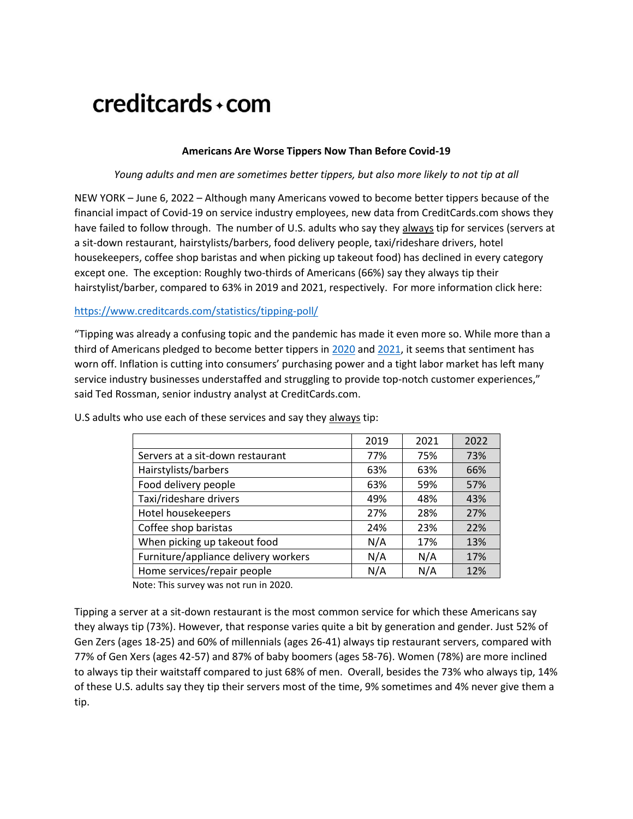# creditcards+com

# **Americans Are Worse Tippers Now Than Before Covid-19**

#### *Young adults and men are sometimes better tippers, but also more likely to not tip at all*

NEW YORK – June 6, 2022 – Although many Americans vowed to become better tippers because of the financial impact of Covid-19 on service industry employees, new data from CreditCards.com shows they have failed to follow through. The number of U.S. adults who say they always tip for services (servers at a sit-down restaurant, hairstylists/barbers, food delivery people, taxi/rideshare drivers, hotel housekeepers, coffee shop baristas and when picking up takeout food) has declined in every category except one. The exception: Roughly two-thirds of Americans (66%) say they always tip their hairstylist/barber, compared to 63% in 2019 and 2021, respectively. For more information click here:

#### <https://www.creditcards.com/statistics/tipping-poll/>

"Tipping was already a confusing topic and the pandemic has made it even more so. While more than a third of Americans pledged to become better tippers in [2020](https://www.creditcards.com/code/wp-content/uploads/20200708-boosting-the-local-economy-survey.pdf) and [2021,](https://nam02.safelinks.protection.outlook.com/?url=https%3A%2F%2Fwww.creditcards.com%2Fcredit-card-news%2Ftipping-poll%2F&data=04%7C01%7Ckyates%40bankrate.com%7C07e1248973a0412d26de08d93b35c322%7C4289d6102cfd46218c9644a1518ddb0a%7C0%7C0%7C637605924354928806%7CUnknown%7CTWFpbGZsb3d8eyJWIjoiMC4wLjAwMDAiLCJQIjoiV2luMzIiLCJBTiI6Ik1haWwiLCJXVCI6Mn0%3D%7C1000&sdata=wVMHTOGYnNHXhuhQW1MUDLARFZdcy4C5cg0YHaSdl1M%3D&reserved=0) it seems that sentiment has worn off. Inflation is cutting into consumers' purchasing power and a tight labor market has left many service industry businesses understaffed and struggling to provide top-notch customer experiences," said Ted Rossman, senior industry analyst at CreditCards.com.

|                                      | 2019 | 2021 | 2022 |
|--------------------------------------|------|------|------|
| Servers at a sit-down restaurant     | 77%  | 75%  | 73%  |
| Hairstylists/barbers                 | 63%  | 63%  | 66%  |
| Food delivery people                 | 63%  | 59%  | 57%  |
| Taxi/rideshare drivers               | 49%  | 48%  | 43%  |
| Hotel housekeepers                   | 27%  | 28%  | 27%  |
| Coffee shop baristas                 | 24%  | 23%  | 22%  |
| When picking up takeout food         | N/A  | 17%  | 13%  |
| Furniture/appliance delivery workers | N/A  | N/A  | 17%  |
| Home services/repair people          | N/A  | N/A  | 12%  |
|                                      |      |      |      |

U.S adults who use each of these services and say they always tip:

Note: This survey was not run in 2020.

Tipping a server at a sit-down restaurant is the most common service for which these Americans say they always tip (73%). However, that response varies quite a bit by generation and gender. Just 52% of Gen Zers (ages 18-25) and 60% of millennials (ages 26-41) always tip restaurant servers, compared with 77% of Gen Xers (ages 42-57) and 87% of baby boomers (ages 58-76). Women (78%) are more inclined to always tip their waitstaff compared to just 68% of men. Overall, besides the 73% who always tip, 14% of these U.S. adults say they tip their servers most of the time, 9% sometimes and 4% never give them a tip.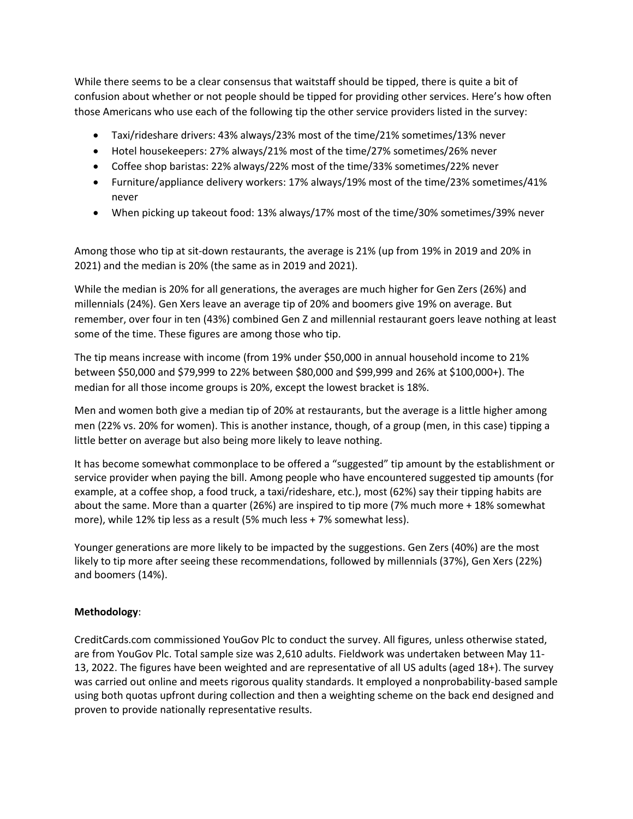While there seems to be a clear consensus that waitstaff should be tipped, there is quite a bit of confusion about whether or not people should be tipped for providing other services. Here's how often those Americans who use each of the following tip the other service providers listed in the survey:

- Taxi/rideshare drivers: 43% always/23% most of the time/21% sometimes/13% never
- Hotel housekeepers: 27% always/21% most of the time/27% sometimes/26% never
- Coffee shop baristas: 22% always/22% most of the time/33% sometimes/22% never
- Furniture/appliance delivery workers: 17% always/19% most of the time/23% sometimes/41% never
- When picking up takeout food: 13% always/17% most of the time/30% sometimes/39% never

Among those who tip at sit-down restaurants, the average is 21% (up from 19% in 2019 and 20% in 2021) and the median is 20% (the same as in 2019 and 2021).

While the median is 20% for all generations, the averages are much higher for Gen Zers (26%) and millennials (24%). Gen Xers leave an average tip of 20% and boomers give 19% on average. But remember, over four in ten (43%) combined Gen Z and millennial restaurant goers leave nothing at least some of the time. These figures are among those who tip.

The tip means increase with income (from 19% under \$50,000 in annual household income to 21% between \$50,000 and \$79,999 to 22% between \$80,000 and \$99,999 and 26% at \$100,000+). The median for all those income groups is 20%, except the lowest bracket is 18%.

Men and women both give a median tip of 20% at restaurants, but the average is a little higher among men (22% vs. 20% for women). This is another instance, though, of a group (men, in this case) tipping a little better on average but also being more likely to leave nothing.

It has become somewhat commonplace to be offered a "suggested" tip amount by the establishment or service provider when paying the bill. Among people who have encountered suggested tip amounts (for example, at a coffee shop, a food truck, a taxi/rideshare, etc.), most (62%) say their tipping habits are about the same. More than a quarter (26%) are inspired to tip more (7% much more + 18% somewhat more), while 12% tip less as a result (5% much less + 7% somewhat less).

Younger generations are more likely to be impacted by the suggestions. Gen Zers (40%) are the most likely to tip more after seeing these recommendations, followed by millennials (37%), Gen Xers (22%) and boomers (14%).

# **Methodology**:

CreditCards.com commissioned YouGov Plc to conduct the survey. All figures, unless otherwise stated, are from YouGov Plc. Total sample size was 2,610 adults. Fieldwork was undertaken between May 11- 13, 2022. The figures have been weighted and are representative of all US adults (aged 18+). The survey was carried out online and meets rigorous quality standards. It employed a nonprobability-based sample using both quotas upfront during collection and then a weighting scheme on the back end designed and proven to provide nationally representative results.